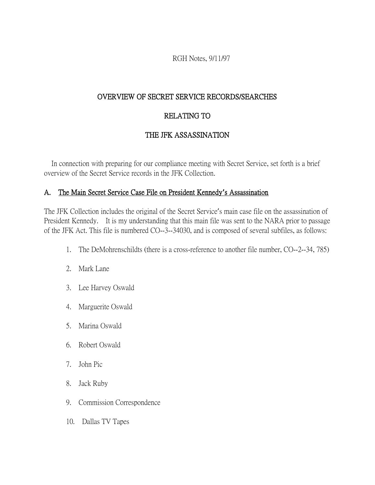RGH Notes, 9/11/97

### OVERVIEW OF SECRET SERVICE RECORDS/SEARCHES

### RELATING TO

### THE JFK ASSASSINATION

 In connection with preparing for our compliance meeting with Secret Service, set forth is a brief overview of the Secret Service records in the JFK Collection.

### A. The Main Secret Service Case File on President Kennedy**'**s Assassination

The JFK Collection includes the original of the Secret Service's main case file on the assassination of President Kennedy. It is my understanding that this main file was sent to the NARA prior to passage of the JFK Act. This file is numbered CO--3--34030, and is composed of several subfiles, as follows:

- 1. The DeMohrenschildts (there is a cross-reference to another file number, CO--2--34, 785)
- 2. Mark Lane
- 3. Lee Harvey Oswald
- 4. Marguerite Oswald
- 5. Marina Oswald
- 6. Robert Oswald
- 7. John Pic
- 8. Jack Ruby
- 9. Commission Correspondence
- 10. Dallas TV Tapes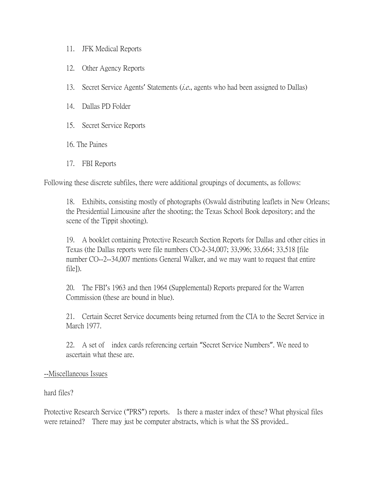- 11. JFK Medical Reports
- 12. Other Agency Reports
- 13. Secret Service Agents' Statements  $(i.e.,$  agents who had been assigned to Dallas)
- 14. Dallas PD Folder
- 15. Secret Service Reports
- 16. The Paines
- 17. FBI Reports

Following these discrete subfiles, there were additional groupings of documents, as follows:

18. Exhibits, consisting mostly of photographs (Oswald distributing leaflets in New Orleans; the Presidential Limousine after the shooting; the Texas School Book depository; and the scene of the Tippit shooting).

19. A booklet containing Protective Research Section Reports for Dallas and other cities in Texas (the Dallas reports were file numbers CO-2-34,007; 33,996; 33,664; 33,518 [file number CO--2--34,007 mentions General Walker, and we may want to request that entire file]).

20. The FBI's 1963 and then 1964 (Supplemental) Reports prepared for the Warren Commission (these are bound in blue).

21. Certain Secret Service documents being returned from the CIA to the Secret Service in March 1977.

22. A set of index cards referencing certain "Secret Service Numbers". We need to ascertain what these are.

#### --Miscellaneous Issues

hard files?

Protective Research Service ("PRS") reports. Is there a master index of these? What physical files were retained? There may just be computer abstracts, which is what the SS provided..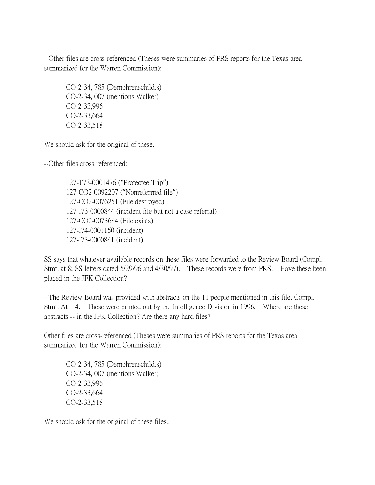--Other files are cross-referenced (Theses were summaries of PRS reports for the Texas area summarized for the Warren Commission):

CO-2-34, 785 (Demohrenschildts) CO-2-34, 007 (mentions Walker) CO-2-33,996 CO-2-33,664 CO-2-33,518

We should ask for the original of these.

--Other files cross referenced:

127-T73-0001476 ("Protectee Trip") 127-CO2-0092207 ("Nonreferrred file") 127-CO2-0076251 (File destroyed) 127-I73-0000844 (incident file but not a case referral) 127-CO2-0073684 (File exists) 127-I74-0001150 (incident) 127-I73-0000841 (incident)

SS says that whatever available records on these files were forwarded to the Review Board (Compl. Stmt. at 8; SS letters dated 5/29/96 and 4/30/97). These records were from PRS. Have these been placed in the JFK Collection?

--The Review Board was provided with abstracts on the 11 people mentioned in this file. Compl. Stmt. At 4. These were printed out by the Intelligence Division in 1996. Where are these abstracts -- in the JFK Collection? Are there any hard files?

Other files are cross-referenced (Theses were summaries of PRS reports for the Texas area summarized for the Warren Commission):

CO-2-34, 785 (Demohrenschildts) CO-2-34, 007 (mentions Walker) CO-2-33,996 CO-2-33,664 CO-2-33,518

We should ask for the original of these files...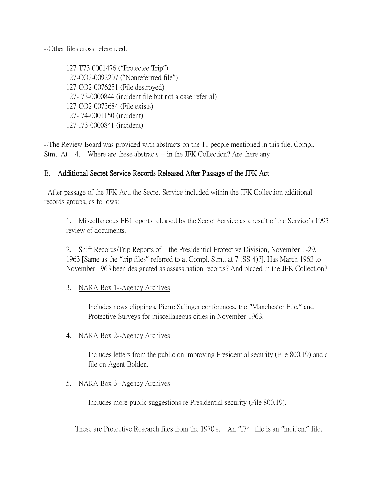--Other files cross referenced:

127-T73-0001476 ("Protectee Trip") 127-CO2-0092207 ("Nonreferrred file") 127-CO2-0076251 (File destroyed) 127-I73-0000844 (incident file but not a case referral) 127-CO2-0073684 (File exists) 127-I74-0001150 (incident)  $127 - 173 - 0000841$  (incident)<sup>1</sup>

--The Review Board was provided with abstracts on the 11 people mentioned in this file. Compl. Stmt. At 4. Where are these abstracts -- in the JFK Collection? Are there any

## B. Additional Secret Service Records Released After Passage of the JFK Act

After passage of the JFK Act, the Secret Service included within the JFK Collection additional records groups, as follows:

1. Miscellaneous FBI reports released by the Secret Service as a result of the Service's 1993 review of documents.

2. Shift Records/Trip Reports of the Presidential Protective Division, November 1-29, 1963 [Same as the "trip files" referred to at Compl. Stmt. at 7 (SS-4)?]. Has March 1963 to November 1963 been designated as assassination records? And placed in the JFK Collection?

### 3. NARA Box 1--Agency Archives

Includes news clippings, Pierre Salinger conferences, the "Manchester File," and Protective Surveys for miscellaneous cities in November 1963.

### 4. NARA Box 2--Agency Archives

Includes letters from the public on improving Presidential security (File 800.19) and a file on Agent Bolden.

5. NARA Box 3--Agency Archives

 $\overline{a}$ 

Includes more public suggestions re Presidential security (File 800.19).

<sup>&</sup>lt;sup>1</sup> These are Protective Research files from the 1970's. An "I74" file is an "incident" file.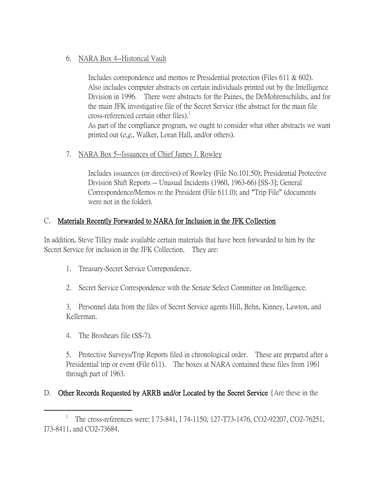## 6. NARA Box 4--Historical Vault

Includes correpondence and memos re Presidential protection (Files 611 & 602). Also includes computer abstracts on certain individuals printed out by the Intelligence Division in 1996. There were abstracts for the Paines, the DeMohrenschildts, and for the main JFK investigative file of the Secret Service (the abstract for the main file cross-referenced certain other files).<sup>2</sup>

As part of the compliance program, we ought to consider what other abstracts we want printed out (e.g., Walker, Loran Hall, and/or others).

## 7. NARA Box 5--Issuances of Chief James J. Rowley

Includes issuances (or directives) of Rowley (File No.101.50); Presidential Protective Division Shift Reports -- Unusual Incidents (1960, 1963-66) [SS-3]; General Correspondence/Memos re the President (File 611.0); and "Trip File" (documents were not in the folder).

## C. Materials Recently Forwarded to NARA for Inclusion in the JFK Collection

In addition, Steve Tilley made available certain materials that have been forwarded to him by the Secret Service for inclusion in the JFK Collection. They are:

- 1. Treasury-Secret Service Correpondence.
- 2. Secret Service Correspondence with the Senate Select Committee on Intelligence.

3. Personnel data from the files of Secret Service agents Hill, Behn, Kinney, Lawton, and Kellerman.

4. The Broshears file (SS-7).

 $\overline{a}$ 

5. Protective Surveys/Trip Reports filed in chronological order. These are prepared after a Presidential trip or event (File 611). The boxes at NARA contained these files from 1961 through part of 1963.

## D. Other Records Requested by ARRB and/or Located by the Secret Service {Are these in the

<sup>2</sup> The cross-references were: I 73-841, I 74-1150, 127-T73-1476, CO2-92207, CO2-76251, I73-8411, and CO2-73684.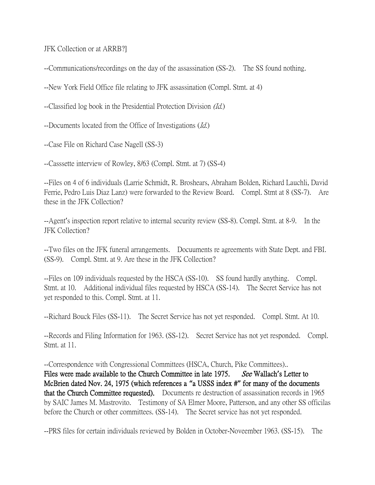JFK Collection or at ARRB?]

--Communications/recordings on the day of the assassination (SS-2). The SS found nothing.

--New York Field Office file relating to JFK assassination (Compl. Stmt. at 4)

--Classified log book in the Presidential Protection Division (Id.)

--Documents located from the Office of Investigations (Id.)

--Case File on Richard Case Nagell (SS-3)

--Casssette interview of Rowley, 8/63 (Compl. Stmt. at 7) (SS-4)

--Files on 4 of 6 individuals (Larrie Schmidt, R. Broshears, Abraham Bolden, Richard Lauchli, David Ferrie, Pedro Luis Diaz Lanz) were forwarded to the Review Board. Compl. Stmt at 8 (SS-7). Are these in the JFK Collection?

--Agent's inspection report relative to internal security review (SS-8). Compl. Stmt. at 8-9. In the JFK Collection?

--Two files on the JFK funeral arrangements. Docuuments re agreements with State Dept. and FBI. (SS-9). Compl. Stmt. at 9. Are these in the JFK Collection?

--Files on 109 individuals requested by the HSCA (SS-10). SS found hardly anything. Compl. Stmt. at 10. Additional individual files requested by HSCA (SS-14). The Secret Service has not yet responded to this. Compl. Stmt. at 11.

--Richard Bouck Files (SS-11). The Secret Service has not yet responded. Compl. Stmt. At 10.

--Records and Filing Information for 1963. (SS-12). Secret Service has not yet responded. Compl. Stmt. at 11.

--Correspondence with Congressional Committees (HSCA, Church, Pike Committees)..

Files were made available to the Church Committee in late 1975. See Wallach's Letter to McBrien dated Nov. 24, 1975 (which references a **"**a USSS index #**"** for many of the documents that the Church Committee requested). Documents re destruction of assassination records in 1965 by SAIC James M. Mastrovito. Testimony of SA Elmer Moore, Patterson, and any other SS officilas before the Church or other committees. (SS-14). The Secret service has not yet responded.

--PRS files for certain individuals reviewed by Bolden in October-Noveember 1963. (SS-15). The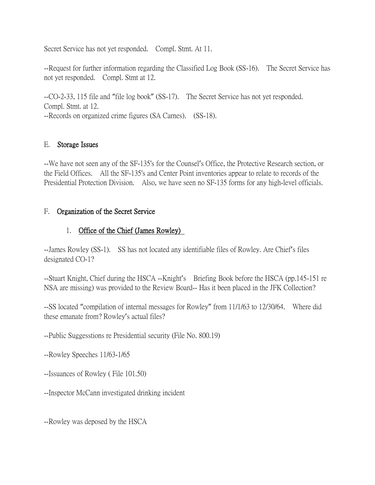Secret Service has not yet responded. Compl. Stmt. At 11.

--Request for further information regarding the Classified Log Book (SS-16). The Secret Service has not yet responded. Compl. Stmt at 12.

--CO-2-33, 115 file and "file log book" (SS-17). The Secret Service has not yet responded. Compl. Stmt. at 12.

--Records on organized crime figures (SA Carnes). (SS-18).

### E. Storage Issues

--We have not seen any of the SF-135's for the Counsel's Office, the Protective Research section, or the Field Offices. All the SF-135's and Center Point inventories appear to relate to records of the Presidential Protection Division. Also, we have seen no SF-135 forms for any high-level officials.

### F. Organization of the Secret Service

### 1. Office of the Chief (James Rowley)

--James Rowley (SS-1). SS has not located any identifiable files of Rowley. Are Chief's files designated CO-1?

--Stuart Knight, Chief during the HSCA --Knight's Briefing Book before the HSCA (pp.145-151 re NSA are missing) was provided to the Review Board-- Has it been placed in the JFK Collection?

--SS located "compilation of internal messages for Rowley" from 11/1/63 to 12/30/64. Where did these emanate from? Rowley's actual files?

--Public Suggesstions re Presidential security (File No. 800.19)

--Rowley Speeches 11/63-1/65

--Issuances of Rowley ( File 101.50)

--Inspector McCann investigated drinking incident

--Rowley was deposed by the HSCA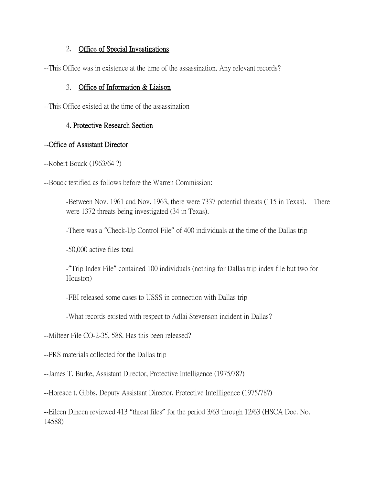### 2. Office of Special Investigations

--This Office was in existence at the time of the assassination. Any relevant records?

### 3. Office of Information & Liaison

--This Office existed at the time of the assassination

### 4. Protective Research Section

### --Office of Assistant Director

--Robert Bouck (1963/64 ?)

--Bouck testified as follows before the Warren Commission:

-Between Nov. 1961 and Nov. 1963, there were 7337 potential threats (115 in Texas). There were 1372 threats being investigated (34 in Texas).

-There was a "Check-Up Control File" of 400 individuals at the time of the Dallas trip

-50,000 active files total

-"Trip Index File" contained 100 individuals (nothing for Dallas trip index file but two for Houston)

-FBI released some cases to USSS in connection with Dallas trip

-What records existed with respect to Adlai Stevenson incident in Dallas?

--Milteer File CO-2-35, 588. Has this been released?

--PRS materials collected for the Dallas trip

--James T. Burke, Assistant Director, Protective Intelligence (1975/78?)

--Horeace t. Gibbs, Deputy Assistant Director, Protective Intellligence (1975/78?)

--Eileen Dineen reviewed 413 "threat files" for the period 3/63 through 12/63 (HSCA Doc. No. 14588)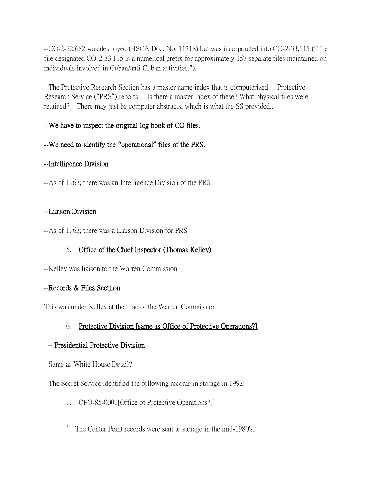--CO-2-32,682 was destroyed (HSCA Doc. No. 11318) but was incorporated into CO-2-33,115 ("The file designated CO-2-33.115 is a numerical prefix for approximately 157 separate files maintained on individuals involved in Cuban/anti-Cuban activities.").

--The Protective Research Section has a master name index that is computerized. Protective Research Service ("PRS") reports. Is there a master index of these? What physical files were retained? There may just be computer abstracts, which is what the SS provided..

## --We have to inspect the original log book of CO files.

## --We need to identify the **"**operational**"** files of the PRS.

## --Intelligence Division

--As of 1963, there was an Intelligence Division of the PRS

## --Liaison Division

--As of 1963, there was a Liaison Division for PRS

# 5. Office of the Chief Inspector (Thomas Kelley)

--Kelley was liaison to the Warren Commission

# --Records & Files Sectiion

This was under Kelley at the time of the Warren Commission

# 6. Protective Division [same as Office of Protective Operations?]

# -- Presidential Protective Division

--Same as White House Detail?

 $\overline{a}$ 

--The Secret Service identified the following records in storage in 1992:

1. OPO-85-0001 [Office of Protective Operations?]<sup>3</sup>

<sup>&</sup>lt;sup>3</sup> The Center Point records were sent to storage in the mid-1980's.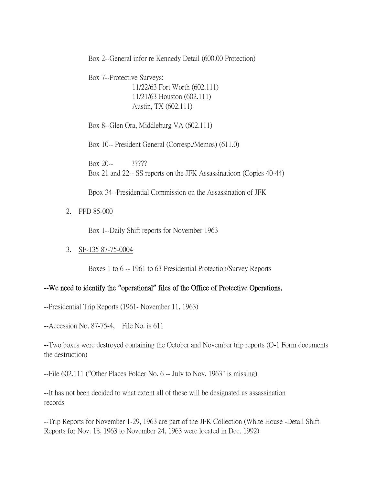Box 2--General infor re Kennedy Detail (600.00 Protection)

Box 7--Protective Surveys: 11/22/63 Fort Worth (602.111) 11/21/63 Houston (602.111) Austin, TX (602.111)

Box 8--Glen Ora, Middleburg VA (602.111)

Box 10-- President General (Corresp./Memos) (611.0)

Box 20-- ????? Box 21 and 22-- SS reports on the JFK Assassinatioon (Copies 40-44)

Bpox 34--Presidential Commission on the Assassination of JFK

2. PPD 85-000

Box 1--Daily Shift reports for November 1963

3. SF-135 87-75-0004

Boxes 1 to 6 -- 1961 to 63 Presidential Protection/Survey Reports

#### --We need to identify the **"**operational**"** files of the Office of Protective Operations.

--Presidential Trip Reports (1961- November 11, 1963)

--Accession No. 87-75-4, File No. is 611

--Two boxes were destroyed containing the October and November trip reports (O-1 Form documents the destruction)

--File 602.111 ("Other Places Folder No. 6 -- July to Nov. 1963" is missing)

--It has not been decided to what extent all of these will be designated as assassination records

--Trip Reports for November 1-29, 1963 are part of the JFK Collection (White House -Detail Shift Reports for Nov. 18, 1963 to November 24, 1963 were located in Dec. 1992)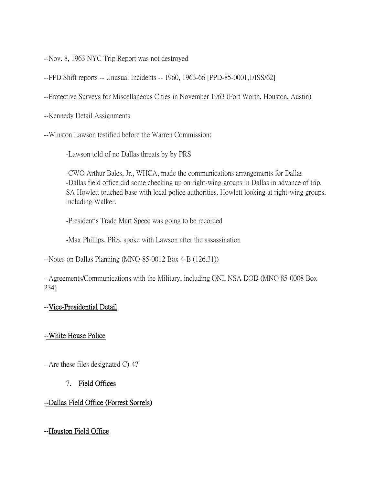--Nov. 8, 1963 NYC Trip Report was not destroyed

--PPD Shift reports -- Unusual Incidents -- 1960, 1963-66 [PPD-85-0001,1/ISS/62]

--Protective Surveys for Miscellaneous Cities in November 1963 (Fort Worth, Houston, Austin)

--Kennedy Detail Assignments

--Winston Lawson testified before the Warren Commission:

-Lawson told of no Dallas threats by by PRS

-CWO Arthur Bales, Jr., WHCA, made the communications arrangements for Dallas -Dallas field office did some checking up on right-wing groups in Dallas in advance of trip. SA Howlett touched base with local police authorities. Howlett looking at right-wing groups, including Walker.

-President's Trade Mart Speec was going to be recorded

-Max Phillips, PRS, spoke with Lawson after the assassination

--Notes on Dallas Planning (MNO-85-0012 Box 4-B (126.31))

--Agreements/Communications with the Military, including ONI, NSA DOD (MNO 85-0008 Box 234)

### --Vice-Presidential Detail

### --White House Police

--Are these files designated C)-4?

### 7. Field Offices

### --Dallas Field Office (Forrest Sorrels)

--Houston Field Office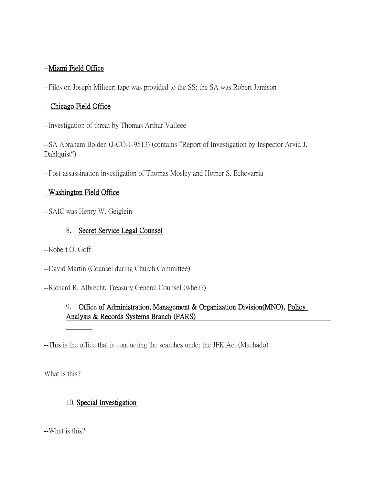### --Miami Field Office

--Files on Joseph Milteer; tape was provided to the SS; the SA was Robert Jamison

### -- Chicago Field Office

--Investigation of threat by Thomas Arthur Valleee

--SA Abraham Bolden (J-CO-1-9513) (contains "Report of Investigation by Inspector Arvid J. Dahlquist")

--Post-assassination investigation of Thomas Mosley and Homer S. Echevarria

## --Washington Field Office

--SAIC was Henry W. Geiglein

## 8. Secret Service Legal Counsel

--Robert O. Goff

--David Martin (Counsel during Church Committee)

--Richard R. Albrecht, Treasury General Counsel (when?)

## 9. Office of Administration, Management & Organization Division(MNO), Policy Analysis & Records Systems Branch (PARS)

--This is the office that is conducting the searches under the JFK Act (Machado)

What is this?

### 10. Special Investigation

--What is this?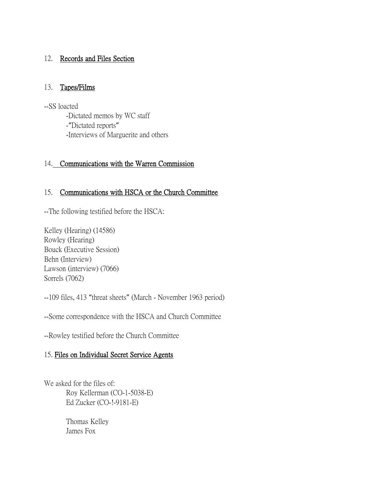## 12. Records and Files Section

#### 13. Tapes/Films

--SS loacted -Dictated memos by WC staff -"Dictated reports" -Interviews of Marguerite and others

### 14. Communications with the Warren Commission

### 15. Communications with HSCA or the Church Committee

--The following testified before the HSCA:

Kelley (Hearing) (14586) Rowley (Hearing) Bouck (Executive Session) Behn (Interview) Lawson (interview) (7066) Sorrels (7062)

--109 files, 413 "threat sheets" (March - November 1963 period)

--Some correspondence with the HSCA and Church Committee

--Rowley testified before the Church Committee

## 15. Files on Individual Secret Service Agents

We asked for the files of: Roy Kellerman (CO-1-5038-E) Ed Zucker (CO-!-9181-E)

> Thomas Kelley James Fox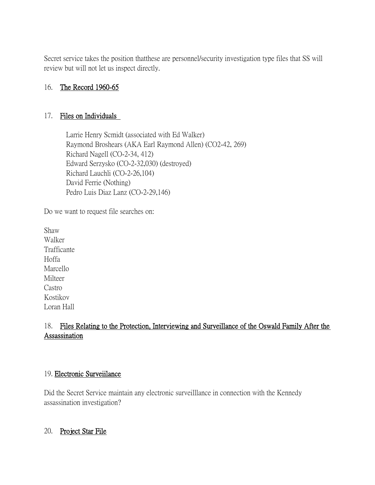Secret service takes the position thatthese are personnel/security investigation type files that SS will review but will not let us inspect directly.

### 16. The Record 1960-65

#### 17. Files on Individuals

Larrie Henry Scmidt (associated with Ed Walker) Raymond Broshears (AKA Earl Raymond Allen) (CO2-42, 269) Richard Nagell (CO-2-34, 412) Edward Serzysko (CO-2-32,030) (destroyed) Richard Lauchli (CO-2-26,104) David Ferrie (Nothing) Pedro Luis Diaz Lanz (CO-2-29,146)

Do we want to request file searches on:

Shaw Walker Trafficante Hoffa Marcello Milteer Castro Kostikov Loran Hall

## 18. Files Relating to the Protection, Interviewing and Surveillance of the Oswald Family After the Assassination

#### 19. Electronic Surveiilance

Did the Secret Service maintain any electronic surveilllance in connection with the Kennedy assassination investigation?

#### 20. Project Star File